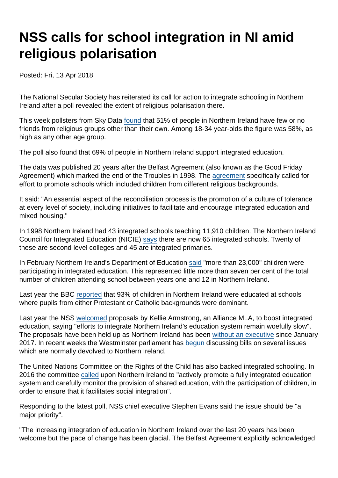## NSS calls for school integration in NI amid religious polarisation

Posted: Fri, 13 Apr 2018

The National Secular Society has reiterated its call for action to integrate schooling in Northern Ireland after a poll revealed the extent of religious polarisation there.

This week pollsters from Sky Data [found](https://news.sky.com/story/belfast-a-city-still-divided-two-decades-after-the-good-friday-agreement-11317515) that 51% of people in Northern Ireland have few or no friends from religious groups other than their own. Among 18-34 year-olds the figure was 58%, as high as any other age group.

The poll also found that 69% of people in Northern Ireland support integrated education.

The data was published 20 years after the Belfast Agreement (also known as the Good Friday Agreement) which marked the end of the Troubles in 1998. The [agreement](https://assets.publishing.service.gov.uk/government/uploads/system/uploads/attachment_data/file/136652/agreement.pdf) specifically called for effort to promote schools which included children from different religious backgrounds.

It said: "An essential aspect of the reconciliation process is the promotion of a culture of tolerance at every level of society, including initiatives to facilitate and encourage integrated education and mixed housing."

In 1998 Northern Ireland had 43 integrated schools teaching 11,910 children. The Northern Ireland Council for Integrated Education (NICIE) [says](http://www.nicie.org/news/press-releases-2/9689-2/) there are now 65 integrated schools. Twenty of these are second level colleges and 45 are integrated primaries.

In February Northern Ireland's Department of Education [said](https://www.education-ni.gov.uk/news/school-enrolment-bulletin-201718-published-today) "more than 23,000" children were participating in integrated education. This represented little more than seven per cent of the total number of children attending school between years one and 12 in Northern Ireland.

Last year the BBC [reported](http://www.bbc.co.uk/news/uk-northern-ireland-38900064) that 93% of children in Northern Ireland were educated at schools where pupils from either Protestant or Catholic backgrounds were dominant.

Last year the NSS [welcomed](https://www.secularism.org.uk/news/2017/01/northern-ireland-secularists-support-moves-to-integrate-education) proposals by Kellie Armstrong, an Alliance MLA, to boost integrated education, saying "efforts to integrate Northern Ireland's education system remain woefully slow". The proposals have been held up as Northern Ireland has been [without an executive](http://www.bbc.co.uk/news/uk-northern-ireland-politics-41723268) since January 2017. In recent weeks the Westminster parliament has [begun](https://www.belfasttelegraph.co.uk/news/northern-ireland/new-government-legislation-on-northern-ireland-direct-rule-in-all-but-name-36750476.html) discussing bills on several issues which are normally devolved to Northern Ireland.

The United Nations Committee on the Rights of the Child has also backed integrated schooling. In 2016 the committee [called](https://www.secularism.org.uk/news/2016/06/un-childrens-rights-committee-calls-on-uk-to-abolish-compulsory-worship-in-schools) upon Northern Ireland to "actively promote a fully integrated education system and carefully monitor the provision of shared education, with the participation of children, in order to ensure that it facilitates social integration".

Responding to the latest poll, NSS chief executive Stephen Evans said the issue should be "a major priority".

"The increasing integration of education in Northern Ireland over the last 20 years has been welcome but the pace of change has been glacial. The Belfast Agreement explicitly acknowledged